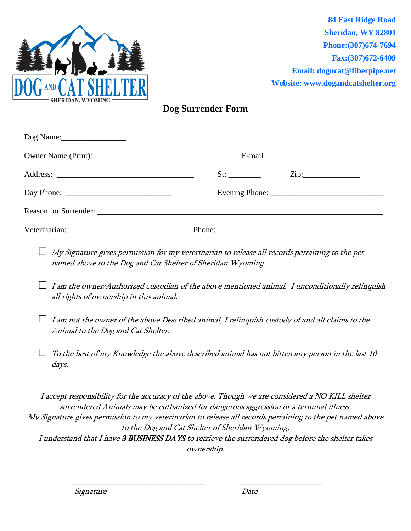

**84 East Ridge Road Sheridan, WY 82801 Phone:(307)674-7694 Fax:(307)672-6409 Email: [dogncat@fiberpipe.net](mailto:dogncat@fiberpipe.net) Website: [www.dogandcatshelter.org](http://www.dogandcatshelter.org/)**

## **Dog Surrender Form**

| $\log$ Name: |                            |
|--------------|----------------------------|
|              |                            |
|              | $\overline{\mathrm{Zip:}}$ |
|              |                            |
|              |                            |
|              |                            |

- □ *My Signature gives permission for my veterinarian to release all records pertaining to the pet* named above to the Dog and Cat Shelter of Sheridan Wyoming
- **□** I am the owner/Authorized custodian of the above mentioned animal. I unconditionally relinquish all rights of ownership in this animal.
- **□** I am not the owner of the above Described animal, I relinquish custody of and all claims to the Animal to the Dog and Cat Shelter.
- $\Box$  To the best of my Knowledge the above described animal has not bitten any person in the last 10 days.

I accept responsibility for the accuracy of the above. Though we are considered a NO KILL shelter surrendered Animals may be euthanized for dangerous aggression or a terminal illness. My Signature gives permission to my veterinarian to release all records pertaining to the pet named above to the Dog and Cat Shelter of Sheridan Wyoming. I understand that I have 3 BUSINESS DAYS to retrieve the surrendered dog before the shelter takes ownership.

 $\overline{\phantom{a}}$  , and the contract of the contract of the contract of the contract of the contract of the contract of the contract of the contract of the contract of the contract of the contract of the contract of the contrac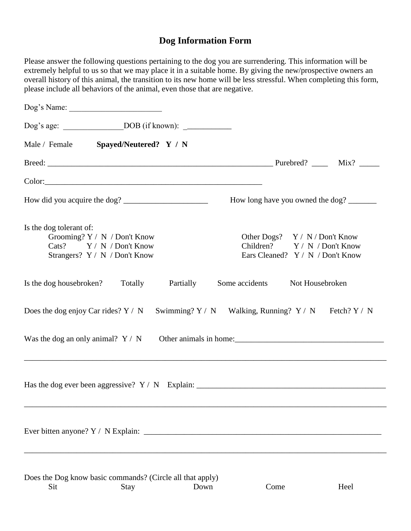## **Dog Information Form**

Please answer the following questions pertaining to the dog you are surrendering. This information will be extremely helpful to us so that we may place it in a suitable home. By giving the new/prospective owners an overall history of this animal, the transition to its new home will be less stressful. When completing this form, please include all behaviors of the animal, even those that are negative.

| Dog's Name:                                                                                                          |                                                                                                      |
|----------------------------------------------------------------------------------------------------------------------|------------------------------------------------------------------------------------------------------|
|                                                                                                                      |                                                                                                      |
| Male / Female Spayed/Neutered? Y / N                                                                                 |                                                                                                      |
|                                                                                                                      |                                                                                                      |
|                                                                                                                      |                                                                                                      |
|                                                                                                                      | How long have you owned the dog?                                                                     |
| Is the dog tolerant of:<br>Grooming? Y / N / Don't Know<br>Cats? Y / N / Don't Know<br>Strangers? Y / N / Don't Know | Other Dogs? $Y / N /$ Don't Know<br>Children? Y / N / Don't Know<br>Ears Cleaned? Y / N / Don't Know |
| Is the dog housebroken? Totally<br>Partially                                                                         | Some accidents<br>Not Housebroken                                                                    |
| Does the dog enjoy Car rides? $Y / N$ Swimming? $Y / N$ Walking, Running? $Y / N$ Fetch? $Y / N$                     |                                                                                                      |
| Was the dog an only animal? $Y / N$                                                                                  | Other animals in home:                                                                               |
|                                                                                                                      |                                                                                                      |
|                                                                                                                      |                                                                                                      |
| Does the Dog know basic commands? (Circle all that apply)<br>Sit<br>Down<br>Stay                                     | Come<br>Heel                                                                                         |